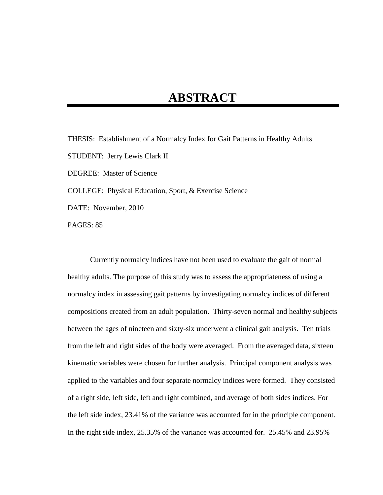## **ABSTRACT**

THESIS: Establishment of a Normalcy Index for Gait Patterns in Healthy Adults STUDENT: Jerry Lewis Clark II DEGREE: Master of Science COLLEGE: Physical Education, Sport, & Exercise Science DATE: November, 2010 PAGES: 85

Currently normalcy indices have not been used to evaluate the gait of normal healthy adults. The purpose of this study was to assess the appropriateness of using a normalcy index in assessing gait patterns by investigating normalcy indices of different compositions created from an adult population. Thirty-seven normal and healthy subjects between the ages of nineteen and sixty-six underwent a clinical gait analysis. Ten trials from the left and right sides of the body were averaged. From the averaged data, sixteen kinematic variables were chosen for further analysis. Principal component analysis was applied to the variables and four separate normalcy indices were formed. They consisted of a right side, left side, left and right combined, and average of both sides indices. For the left side index, 23.41% of the variance was accounted for in the principle component. In the right side index, 25.35% of the variance was accounted for. 25.45% and 23.95%